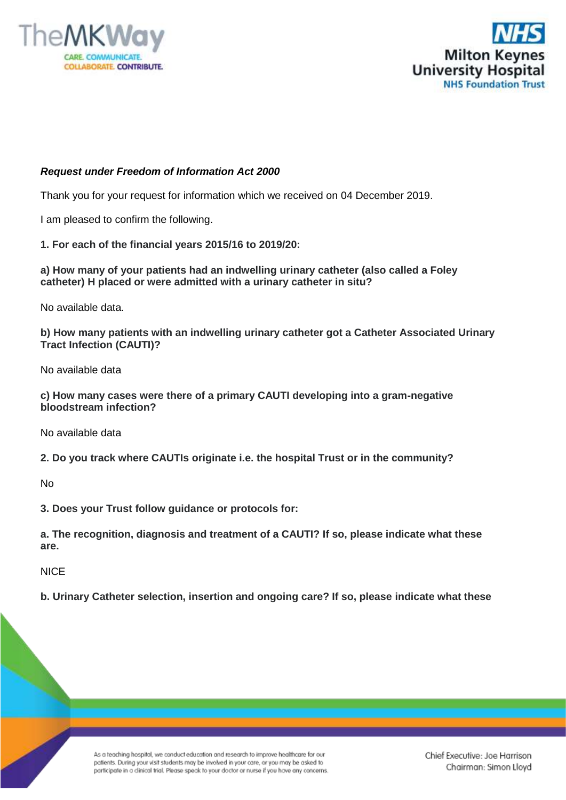



## *Request under Freedom of Information Act 2000*

Thank you for your request for information which we received on 04 December 2019.

I am pleased to confirm the following.

**1. For each of the financial years 2015/16 to 2019/20:**

**a) How many of your patients had an indwelling urinary catheter (also called a Foley catheter) H placed or were admitted with a urinary catheter in situ?**

No available data.

**b) How many patients with an indwelling urinary catheter got a Catheter Associated Urinary Tract Infection (CAUTI)?**

No available data

**c) How many cases were there of a primary CAUTI developing into a gram-negative bloodstream infection?**

No available data

**2. Do you track where CAUTIs originate i.e. the hospital Trust or in the community?**

No

**3. Does your Trust follow guidance or protocols for:**

**a. The recognition, diagnosis and treatment of a CAUTI? If so, please indicate what these are.**

**NICF** 

**b. Urinary Catheter selection, insertion and ongoing care? If so, please indicate what these** 

As a teaching hospital, we conduct education and research to improve healthcare for our patients. During your visit students may be involved in your care, or you may be asked to participate in a clinical trial. Please speak to your doctor or nurse if you have any concerns. Chief Executive: Joe Harrison Chairman: Simon Lloyd